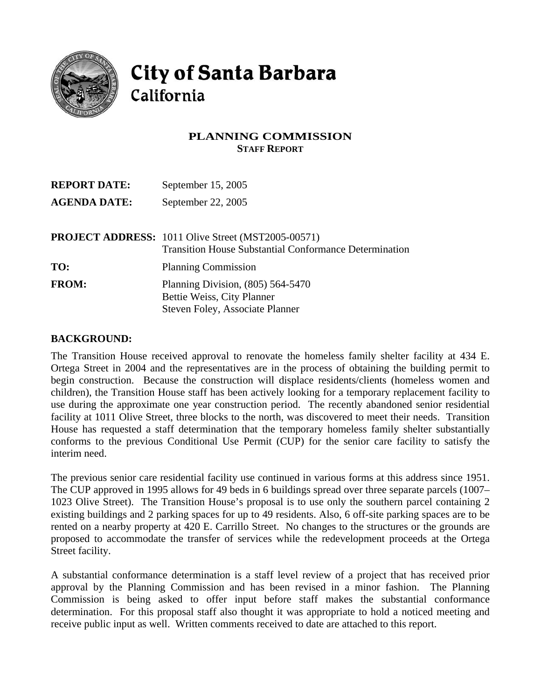

# **City of Santa Barbara** California

## **PLANNING COMMISSION STAFF REPORT**

| <b>REPORT DATE:</b> | September 15, 2005                                                                                                         |
|---------------------|----------------------------------------------------------------------------------------------------------------------------|
| <b>AGENDA DATE:</b> | September 22, 2005                                                                                                         |
|                     | <b>PROJECT ADDRESS:</b> 1011 Olive Street (MST2005-00571)<br><b>Transition House Substantial Conformance Determination</b> |
| TO:                 | <b>Planning Commission</b>                                                                                                 |
| <b>FROM:</b>        | Planning Division, $(805)$ 564-5470<br>Bettie Weiss, City Planner<br>Steven Foley, Associate Planner                       |

#### **BACKGROUND:**

The Transition House received approval to renovate the homeless family shelter facility at 434 E. Ortega Street in 2004 and the representatives are in the process of obtaining the building permit to begin construction. Because the construction will displace residents/clients (homeless women and children), the Transition House staff has been actively looking for a temporary replacement facility to use during the approximate one year construction period. The recently abandoned senior residential facility at 1011 Olive Street, three blocks to the north, was discovered to meet their needs. Transition House has requested a staff determination that the temporary homeless family shelter substantially conforms to the previous Conditional Use Permit (CUP) for the senior care facility to satisfy the interim need.

The previous senior care residential facility use continued in various forms at this address since 1951. The CUP approved in 1995 allows for 49 beds in 6 buildings spread over three separate parcels (1007– 1023 Olive Street). The Transition House's proposal is to use only the southern parcel containing 2 existing buildings and 2 parking spaces for up to 49 residents. Also, 6 off-site parking spaces are to be rented on a nearby property at 420 E. Carrillo Street. No changes to the structures or the grounds are proposed to accommodate the transfer of services while the redevelopment proceeds at the Ortega Street facility.

A substantial conformance determination is a staff level review of a project that has received prior approval by the Planning Commission and has been revised in a minor fashion. The Planning Commission is being asked to offer input before staff makes the substantial conformance determination. For this proposal staff also thought it was appropriate to hold a noticed meeting and receive public input as well. Written comments received to date are attached to this report.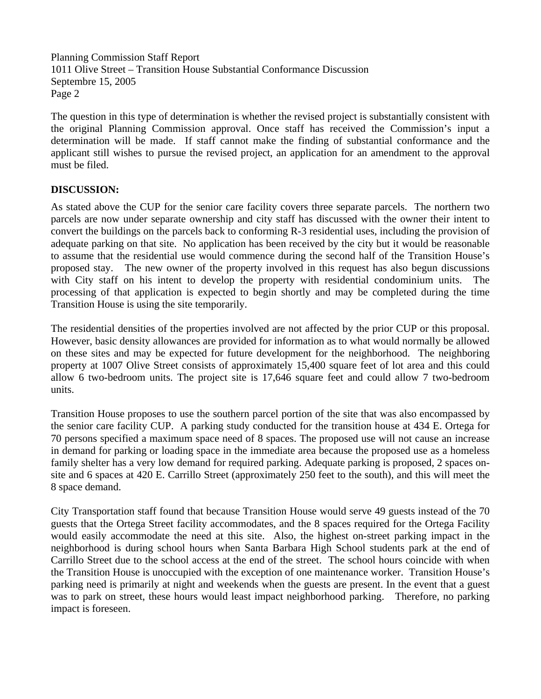Planning Commission Staff Report 1011 Olive Street – Transition House Substantial Conformance Discussion Septembre 15, 2005 Page 2

The question in this type of determination is whether the revised project is substantially consistent with the original Planning Commission approval. Once staff has received the Commission's input a determination will be made. If staff cannot make the finding of substantial conformance and the applicant still wishes to pursue the revised project, an application for an amendment to the approval must be filed.

### **DISCUSSION:**

As stated above the CUP for the senior care facility covers three separate parcels. The northern two parcels are now under separate ownership and city staff has discussed with the owner their intent to convert the buildings on the parcels back to conforming R-3 residential uses, including the provision of adequate parking on that site. No application has been received by the city but it would be reasonable to assume that the residential use would commence during the second half of the Transition House's proposed stay. The new owner of the property involved in this request has also begun discussions with City staff on his intent to develop the property with residential condominium units. The processing of that application is expected to begin shortly and may be completed during the time Transition House is using the site temporarily.

The residential densities of the properties involved are not affected by the prior CUP or this proposal. However, basic density allowances are provided for information as to what would normally be allowed on these sites and may be expected for future development for the neighborhood. The neighboring property at 1007 Olive Street consists of approximately 15,400 square feet of lot area and this could allow 6 two-bedroom units. The project site is 17,646 square feet and could allow 7 two-bedroom units.

Transition House proposes to use the southern parcel portion of the site that was also encompassed by the senior care facility CUP. A parking study conducted for the transition house at 434 E. Ortega for 70 persons specified a maximum space need of 8 spaces. The proposed use will not cause an increase in demand for parking or loading space in the immediate area because the proposed use as a homeless family shelter has a very low demand for required parking. Adequate parking is proposed, 2 spaces onsite and 6 spaces at 420 E. Carrillo Street (approximately 250 feet to the south), and this will meet the 8 space demand.

City Transportation staff found that because Transition House would serve 49 guests instead of the 70 guests that the Ortega Street facility accommodates, and the 8 spaces required for the Ortega Facility would easily accommodate the need at this site. Also, the highest on-street parking impact in the neighborhood is during school hours when Santa Barbara High School students park at the end of Carrillo Street due to the school access at the end of the street. The school hours coincide with when the Transition House is unoccupied with the exception of one maintenance worker. Transition House's parking need is primarily at night and weekends when the guests are present. In the event that a guest was to park on street, these hours would least impact neighborhood parking. Therefore, no parking impact is foreseen.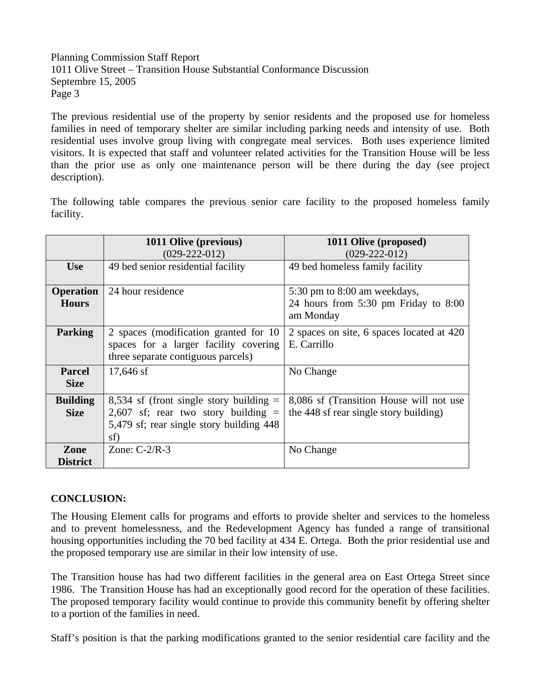### Planning Commission Staff Report 1011 Olive Street – Transition House Substantial Conformance Discussion Septembre 15, 2005 Page 3

The previous residential use of the property by senior residents and the proposed use for homeless families in need of temporary shelter are similar including parking needs and intensity of use. Both residential uses involve group living with congregate meal services. Both uses experience limited visitors. It is expected that staff and volunteer related activities for the Transition House will be less than the prior use as only one maintenance person will be there during the day (see project description).

The following table compares the previous senior care facility to the proposed homeless family facility.

|                                | 1011 Olive (previous)                                                                                                                 | 1011 Olive (proposed)                                                             |
|--------------------------------|---------------------------------------------------------------------------------------------------------------------------------------|-----------------------------------------------------------------------------------|
|                                | $(029-222-012)$                                                                                                                       | $(029-222-012)$                                                                   |
| <b>Use</b>                     | 49 bed senior residential facility                                                                                                    | 49 bed homeless family facility                                                   |
|                                |                                                                                                                                       |                                                                                   |
| <b>Operation</b>               | 24 hour residence                                                                                                                     | 5:30 pm to 8:00 am weekdays,                                                      |
| <b>Hours</b>                   |                                                                                                                                       | 24 hours from $5:30$ pm Friday to $8:00$<br>am Monday                             |
| <b>Parking</b>                 | 2 spaces (modification granted for 10<br>spaces for a larger facility covering<br>three separate contiguous parcels)                  | 2 spaces on site, 6 spaces located at 420<br>E. Carrillo                          |
| <b>Parcel</b><br><b>Size</b>   | $17,646$ sf                                                                                                                           | No Change                                                                         |
| <b>Building</b><br><b>Size</b> | 8,534 sf (front single story building $=$<br>2,607 sf; rear two story building $=$<br>5,479 sf; rear single story building 448<br>sf) | 8,086 sf (Transition House will not use<br>the 448 sf rear single story building) |
| Zone<br><b>District</b>        | Zone: $C-2/R-3$                                                                                                                       | No Change                                                                         |

### **CONCLUSION:**

The Housing Element calls for programs and efforts to provide shelter and services to the homeless and to prevent homelessness, and the Redevelopment Agency has funded a range of transitional housing opportunities including the 70 bed facility at 434 E. Ortega. Both the prior residential use and the proposed temporary use are similar in their low intensity of use.

The Transition house has had two different facilities in the general area on East Ortega Street since 1986. The Transition House has had an exceptionally good record for the operation of these facilities. The proposed temporary facility would continue to provide this community benefit by offering shelter to a portion of the families in need.

Staff's position is that the parking modifications granted to the senior residential care facility and the